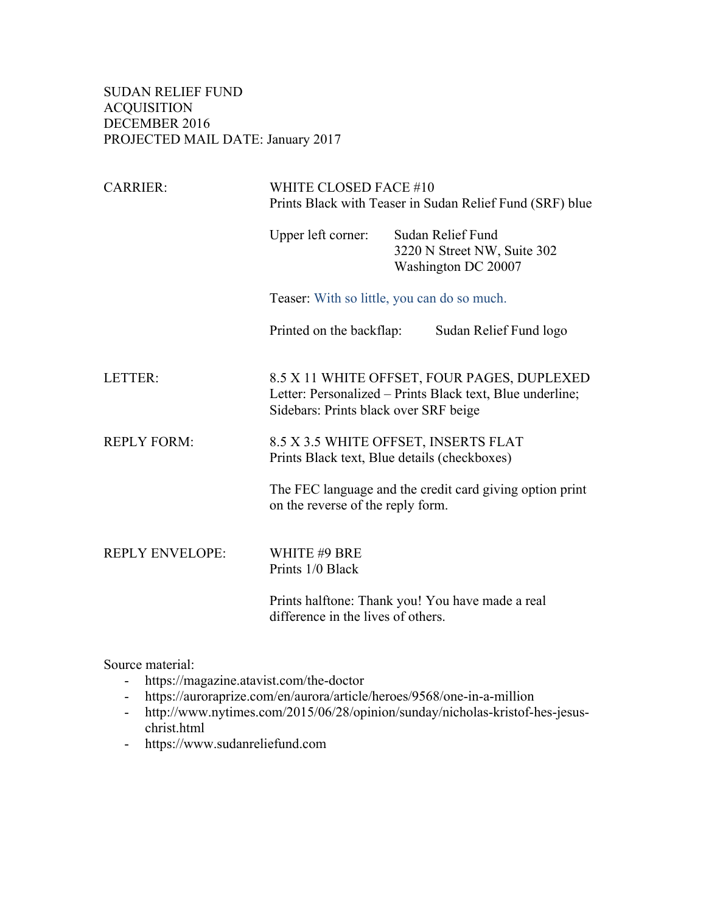SUDAN RELIEF FUND ACQUISITION DECEMBER 2016 PROJECTED MAIL DATE: January 2017

| <b>CARRIER:</b>        | WHITE CLOSED FACE #10<br>Prints Black with Teaser in Sudan Relief Fund (SRF) blue                                                                 |                                                                         |                        |
|------------------------|---------------------------------------------------------------------------------------------------------------------------------------------------|-------------------------------------------------------------------------|------------------------|
|                        | Upper left corner:                                                                                                                                | Sudan Relief Fund<br>3220 N Street NW, Suite 302<br>Washington DC 20007 |                        |
|                        | Teaser: With so little, you can do so much.                                                                                                       |                                                                         |                        |
|                        | Printed on the backflap:                                                                                                                          |                                                                         | Sudan Relief Fund logo |
| LETTER:                | 8.5 X 11 WHITE OFFSET, FOUR PAGES, DUPLEXED<br>Letter: Personalized – Prints Black text, Blue underline;<br>Sidebars: Prints black over SRF beige |                                                                         |                        |
| <b>REPLY FORM:</b>     | 8.5 X 3.5 WHITE OFFSET, INSERTS FLAT<br>Prints Black text, Blue details (checkboxes)                                                              |                                                                         |                        |
|                        | The FEC language and the credit card giving option print<br>on the reverse of the reply form.                                                     |                                                                         |                        |
| <b>REPLY ENVELOPE:</b> | WHITE #9 BRE<br>Prints 1/0 Black                                                                                                                  |                                                                         |                        |
|                        | Prints halftone: Thank you! You have made a real<br>difference in the lives of others.                                                            |                                                                         |                        |

Source material:

- https://magazine.atavist.com/the-doctor
- https://auroraprize.com/en/aurora/article/heroes/9568/one-in-a-million
- http://www.nytimes.com/2015/06/28/opinion/sunday/nicholas-kristof-hes-jesuschrist.html
- https://www.sudanreliefund.com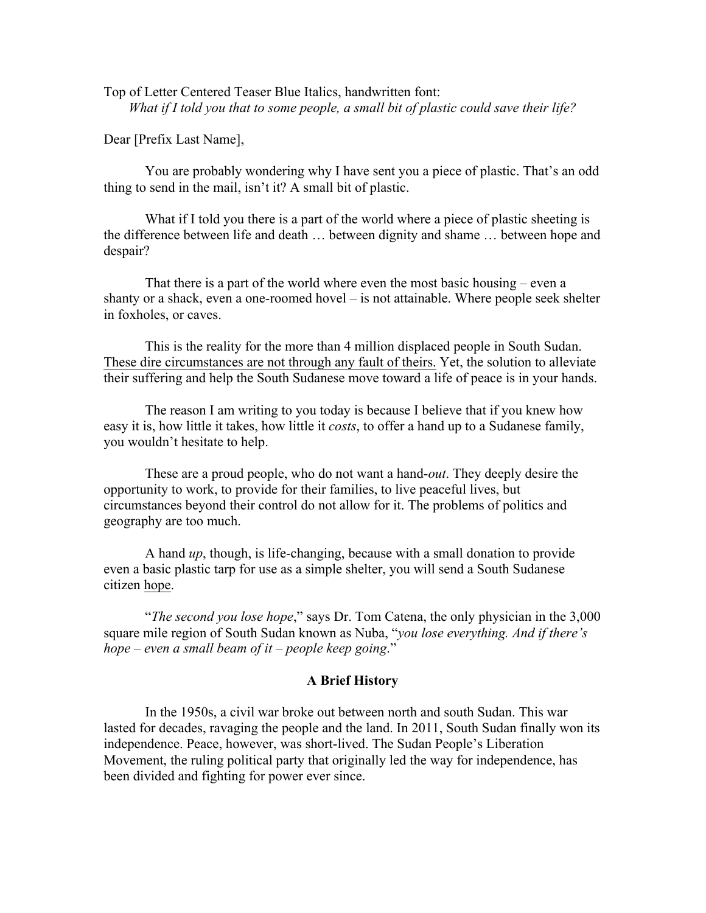Top of Letter Centered Teaser Blue Italics, handwritten font: *What if I told you that to some people, a small bit of plastic could save their life?*

Dear [Prefix Last Name],

You are probably wondering why I have sent you a piece of plastic. That's an odd thing to send in the mail, isn't it? A small bit of plastic.

What if I told you there is a part of the world where a piece of plastic sheeting is the difference between life and death … between dignity and shame … between hope and despair?

That there is a part of the world where even the most basic housing – even a shanty or a shack, even a one-roomed hovel – is not attainable. Where people seek shelter in foxholes, or caves.

This is the reality for the more than 4 million displaced people in South Sudan. These dire circumstances are not through any fault of theirs. Yet, the solution to alleviate their suffering and help the South Sudanese move toward a life of peace is in your hands.

The reason I am writing to you today is because I believe that if you knew how easy it is, how little it takes, how little it *costs*, to offer a hand up to a Sudanese family, you wouldn't hesitate to help.

These are a proud people, who do not want a hand-*out*. They deeply desire the opportunity to work, to provide for their families, to live peaceful lives, but circumstances beyond their control do not allow for it. The problems of politics and geography are too much.

A hand *up*, though, is life-changing, because with a small donation to provide even a basic plastic tarp for use as a simple shelter, you will send a South Sudanese citizen hope.

"*The second you lose hope*," says Dr. Tom Catena, the only physician in the 3,000 square mile region of South Sudan known as Nuba, "*you lose everything. And if there's hope – even a small beam of it – people keep going*."

## **A Brief History**

In the 1950s, a civil war broke out between north and south Sudan. This war lasted for decades, ravaging the people and the land. In 2011, South Sudan finally won its independence. Peace, however, was short-lived. The Sudan People's Liberation Movement, the ruling political party that originally led the way for independence, has been divided and fighting for power ever since.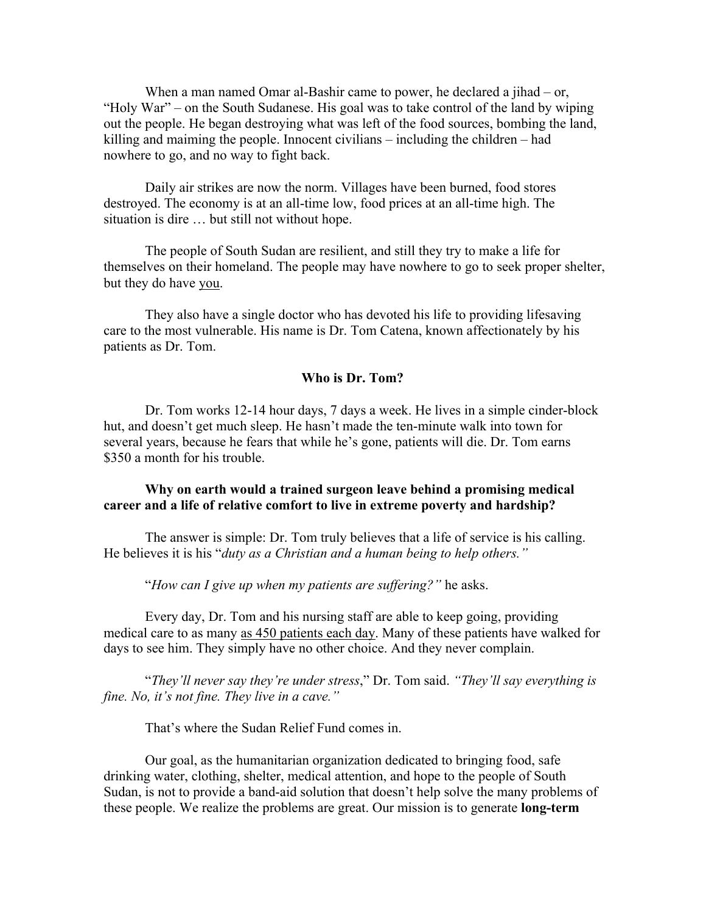When a man named Omar al-Bashir came to power, he declared a jihad – or, "Holy War" – on the South Sudanese. His goal was to take control of the land by wiping out the people. He began destroying what was left of the food sources, bombing the land, killing and maiming the people. Innocent civilians – including the children – had nowhere to go, and no way to fight back.

Daily air strikes are now the norm. Villages have been burned, food stores destroyed. The economy is at an all-time low, food prices at an all-time high. The situation is dire … but still not without hope.

The people of South Sudan are resilient, and still they try to make a life for themselves on their homeland. The people may have nowhere to go to seek proper shelter, but they do have you.

They also have a single doctor who has devoted his life to providing lifesaving care to the most vulnerable. His name is Dr. Tom Catena, known affectionately by his patients as Dr. Tom.

## **Who is Dr. Tom?**

Dr. Tom works 12-14 hour days, 7 days a week. He lives in a simple cinder-block hut, and doesn't get much sleep. He hasn't made the ten-minute walk into town for several years, because he fears that while he's gone, patients will die. Dr. Tom earns \$350 a month for his trouble.

## **Why on earth would a trained surgeon leave behind a promising medical career and a life of relative comfort to live in extreme poverty and hardship?**

The answer is simple: Dr. Tom truly believes that a life of service is his calling. He believes it is his "*duty as a Christian and a human being to help others."*

"*How can I give up when my patients are suffering?"* he asks.

Every day, Dr. Tom and his nursing staff are able to keep going, providing medical care to as many as 450 patients each day. Many of these patients have walked for days to see him. They simply have no other choice. And they never complain.

"*They'll never say they're under stress*," Dr. Tom said. *"They'll say everything is fine. No, it's not fine. They live in a cave."*

That's where the Sudan Relief Fund comes in.

Our goal, as the humanitarian organization dedicated to bringing food, safe drinking water, clothing, shelter, medical attention, and hope to the people of South Sudan, is not to provide a band-aid solution that doesn't help solve the many problems of these people. We realize the problems are great. Our mission is to generate **long-term**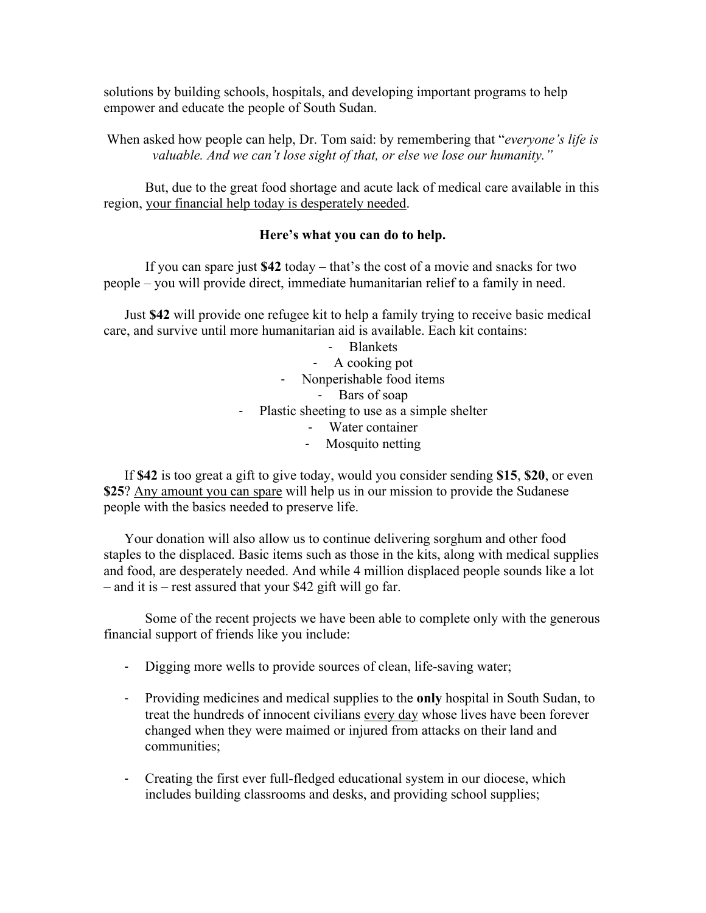solutions by building schools, hospitals, and developing important programs to help empower and educate the people of South Sudan.

When asked how people can help, Dr. Tom said: by remembering that "*everyone's life is valuable. And we can't lose sight of that, or else we lose our humanity."*

But, due to the great food shortage and acute lack of medical care available in this region, your financial help today is desperately needed.

## **Here's what you can do to help.**

If you can spare just **\$42** today – that's the cost of a movie and snacks for two people – you will provide direct, immediate humanitarian relief to a family in need.

Just **\$42** will provide one refugee kit to help a family trying to receive basic medical care, and survive until more humanitarian aid is available. Each kit contains:

> - Blankets - A cooking pot - Nonperishable food items - Bars of soap - Plastic sheeting to use as a simple shelter - Water container

- Mosquito netting

If **\$42** is too great a gift to give today, would you consider sending **\$15**, **\$20**, or even **\$25**? Any amount you can spare will help us in our mission to provide the Sudanese people with the basics needed to preserve life.

Your donation will also allow us to continue delivering sorghum and other food staples to the displaced. Basic items such as those in the kits, along with medical supplies and food, are desperately needed. And while 4 million displaced people sounds like a lot – and it is – rest assured that your \$42 gift will go far.

Some of the recent projects we have been able to complete only with the generous financial support of friends like you include:

- Digging more wells to provide sources of clean, life-saving water;
- Providing medicines and medical supplies to the **only** hospital in South Sudan, to treat the hundreds of innocent civilians every day whose lives have been forever changed when they were maimed or injured from attacks on their land and communities;
- Creating the first ever full-fledged educational system in our diocese, which includes building classrooms and desks, and providing school supplies;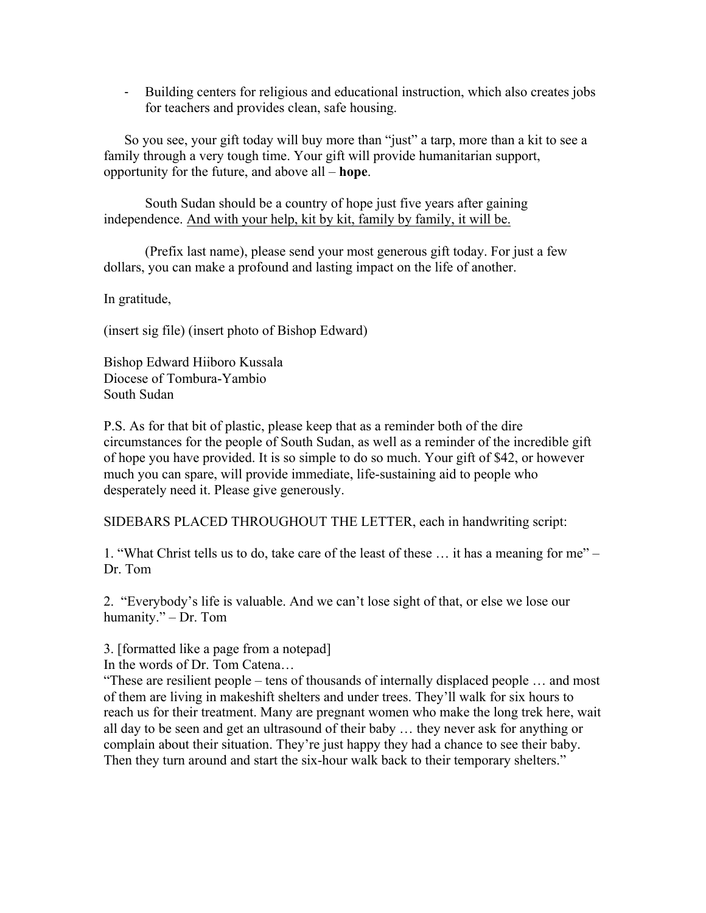- Building centers for religious and educational instruction, which also creates jobs for teachers and provides clean, safe housing.

So you see, your gift today will buy more than "just" a tarp, more than a kit to see a family through a very tough time. Your gift will provide humanitarian support, opportunity for the future, and above all – **hope**.

South Sudan should be a country of hope just five years after gaining independence. And with your help, kit by kit, family by family, it will be.

(Prefix last name), please send your most generous gift today. For just a few dollars, you can make a profound and lasting impact on the life of another.

In gratitude,

(insert sig file) (insert photo of Bishop Edward)

Bishop Edward Hiiboro Kussala Diocese of Tombura-Yambio South Sudan

P.S. As for that bit of plastic, please keep that as a reminder both of the dire circumstances for the people of South Sudan, as well as a reminder of the incredible gift of hope you have provided. It is so simple to do so much. Your gift of \$42, or however much you can spare, will provide immediate, life-sustaining aid to people who desperately need it. Please give generously.

SIDEBARS PLACED THROUGHOUT THE LETTER, each in handwriting script:

1. "What Christ tells us to do, take care of the least of these … it has a meaning for me" – Dr. Tom

2. "Everybody's life is valuable. And we can't lose sight of that, or else we lose our humanity." – Dr. Tom

3. [formatted like a page from a notepad]

In the words of Dr. Tom Catena…

"These are resilient people – tens of thousands of internally displaced people … and most of them are living in makeshift shelters and under trees. They'll walk for six hours to reach us for their treatment. Many are pregnant women who make the long trek here, wait all day to be seen and get an ultrasound of their baby … they never ask for anything or complain about their situation. They're just happy they had a chance to see their baby. Then they turn around and start the six-hour walk back to their temporary shelters."